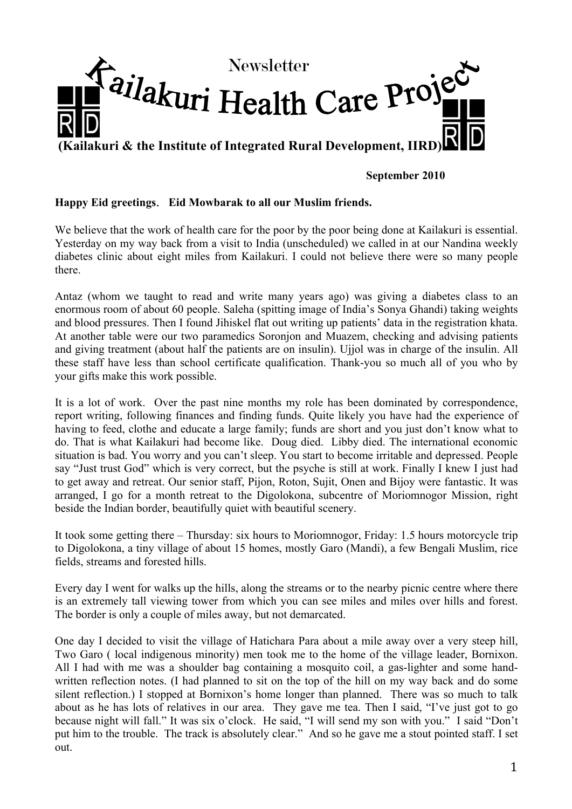

# **September 2010**

# **Happy Eid greetings**.**Eid Mowbarak to all our Muslim friends.**

We believe that the work of health care for the poor by the poor being done at Kailakuri is essential. Yesterday on my way back from a visit to India (unscheduled) we called in at our Nandina weekly diabetes clinic about eight miles from Kailakuri. I could not believe there were so many people there.

Antaz (whom we taught to read and write many years ago) was giving a diabetes class to an enormous room of about 60 people. Saleha (spitting image of India's Sonya Ghandi) taking weights and blood pressures. Then I found Jihiskel flat out writing up patients' data in the registration khata. At another table were our two paramedics Soronjon and Muazem, checking and advising patients and giving treatment (about half the patients are on insulin). Ujjol was in charge of the insulin. All these staff have less than school certificate qualification. Thank-you so much all of you who by your gifts make this work possible.

It is a lot of work. Over the past nine months my role has been dominated by correspondence, report writing, following finances and finding funds. Quite likely you have had the experience of having to feed, clothe and educate a large family; funds are short and you just don't know what to do. That is what Kailakuri had become like. Doug died. Libby died. The international economic situation is bad. You worry and you can't sleep. You start to become irritable and depressed. People say "Just trust God" which is very correct, but the psyche is still at work. Finally I knew I just had to get away and retreat. Our senior staff, Pijon, Roton, Sujit, Onen and Bijoy were fantastic. It was arranged, I go for a month retreat to the Digolokona, subcentre of Moriomnogor Mission, right beside the Indian border, beautifully quiet with beautiful scenery.

It took some getting there – Thursday: six hours to Moriomnogor, Friday: 1.5 hours motorcycle trip to Digolokona, a tiny village of about 15 homes, mostly Garo (Mandi), a few Bengali Muslim, rice fields, streams and forested hills.

Every day I went for walks up the hills, along the streams or to the nearby picnic centre where there is an extremely tall viewing tower from which you can see miles and miles over hills and forest. The border is only a couple of miles away, but not demarcated.

One day I decided to visit the village of Hatichara Para about a mile away over a very steep hill, Two Garo ( local indigenous minority) men took me to the home of the village leader, Bornixon. All I had with me was a shoulder bag containing a mosquito coil, a gas-lighter and some handwritten reflection notes. (I had planned to sit on the top of the hill on my way back and do some silent reflection.) I stopped at Bornixon's home longer than planned. There was so much to talk about as he has lots of relatives in our area. They gave me tea. Then I said, "I've just got to go because night will fall." It was six o'clock. He said, "I will send my son with you." I said "Don't put him to the trouble. The track is absolutely clear." And so he gave me a stout pointed staff. I set out.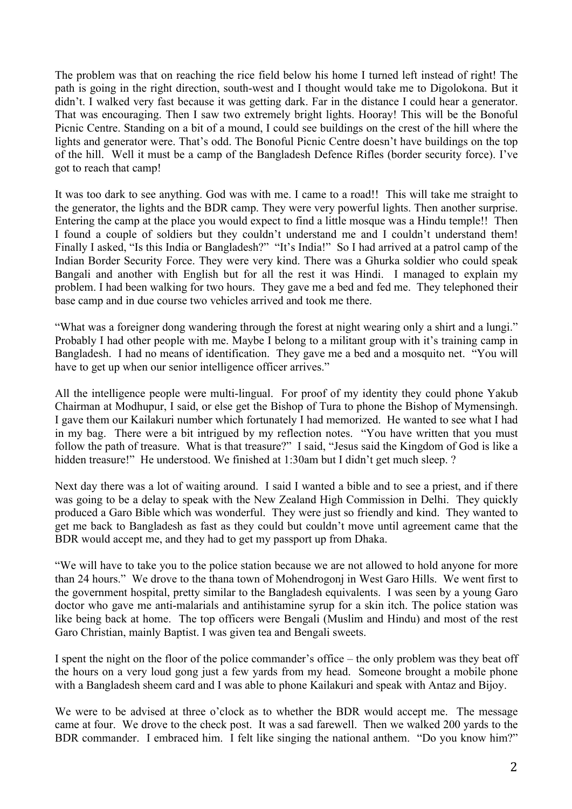The problem was that on reaching the rice field below his home I turned left instead of right! The path is going in the right direction, south-west and I thought would take me to Digolokona. But it didn't. I walked very fast because it was getting dark. Far in the distance I could hear a generator. That was encouraging. Then I saw two extremely bright lights. Hooray! This will be the Bonoful Picnic Centre. Standing on a bit of a mound, I could see buildings on the crest of the hill where the lights and generator were. That's odd. The Bonoful Picnic Centre doesn't have buildings on the top of the hill. Well it must be a camp of the Bangladesh Defence Rifles (border security force). I've got to reach that camp!

It was too dark to see anything. God was with me. I came to a road!! This will take me straight to the generator, the lights and the BDR camp. They were very powerful lights. Then another surprise. Entering the camp at the place you would expect to find a little mosque was a Hindu temple!! Then I found a couple of soldiers but they couldn't understand me and I couldn't understand them! Finally I asked, "Is this India or Bangladesh?" "It's India!" So I had arrived at a patrol camp of the Indian Border Security Force. They were very kind. There was a Ghurka soldier who could speak Bangali and another with English but for all the rest it was Hindi. I managed to explain my problem. I had been walking for two hours. They gave me a bed and fed me. They telephoned their base camp and in due course two vehicles arrived and took me there.

"What was a foreigner dong wandering through the forest at night wearing only a shirt and a lungi." Probably I had other people with me. Maybe I belong to a militant group with it's training camp in Bangladesh. I had no means of identification. They gave me a bed and a mosquito net. "You will have to get up when our senior intelligence officer arrives."

All the intelligence people were multi-lingual. For proof of my identity they could phone Yakub Chairman at Modhupur, I said, or else get the Bishop of Tura to phone the Bishop of Mymensingh. I gave them our Kailakuri number which fortunately I had memorized. He wanted to see what I had in my bag. There were a bit intrigued by my reflection notes. "You have written that you must follow the path of treasure. What is that treasure?" I said, "Jesus said the Kingdom of God is like a hidden treasure!" He understood. We finished at 1:30am but I didn't get much sleep. ?

Next day there was a lot of waiting around. I said I wanted a bible and to see a priest, and if there was going to be a delay to speak with the New Zealand High Commission in Delhi. They quickly produced a Garo Bible which was wonderful. They were just so friendly and kind. They wanted to get me back to Bangladesh as fast as they could but couldn't move until agreement came that the BDR would accept me, and they had to get my passport up from Dhaka.

"We will have to take you to the police station because we are not allowed to hold anyone for more than 24 hours." We drove to the thana town of Mohendrogonj in West Garo Hills. We went first to the government hospital, pretty similar to the Bangladesh equivalents. I was seen by a young Garo doctor who gave me anti-malarials and antihistamine syrup for a skin itch. The police station was like being back at home. The top officers were Bengali (Muslim and Hindu) and most of the rest Garo Christian, mainly Baptist. I was given tea and Bengali sweets.

I spent the night on the floor of the police commander's office – the only problem was they beat off the hours on a very loud gong just a few yards from my head. Someone brought a mobile phone with a Bangladesh sheem card and I was able to phone Kailakuri and speak with Antaz and Bijoy.

We were to be advised at three o'clock as to whether the BDR would accept me. The message came at four. We drove to the check post. It was a sad farewell. Then we walked 200 yards to the BDR commander. I embraced him. I felt like singing the national anthem. "Do you know him?"